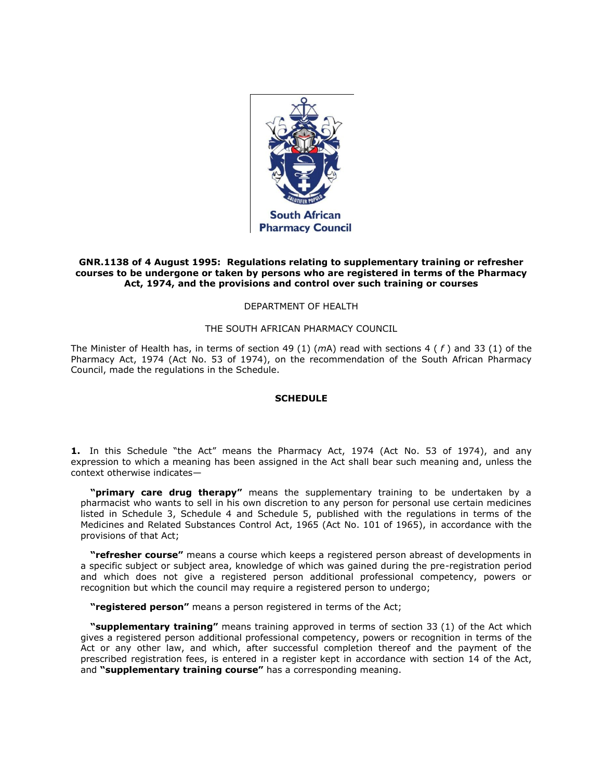

## **GNR.1138 of 4 August 1995: Regulations relating to supplementary training or refresher courses to be undergone or taken by persons who are registered in terms of the Pharmacy Act, 1974, and the provisions and control over such training or courses**

## DEPARTMENT OF HEALTH

### THE SOUTH AFRICAN PHARMACY COUNCIL

The Minister of Health has, in terms of [section 49](http://www.mylexisnexis.co.za/nxt/gateway.dll/jilc/kilc/xjsg/zmsg/0msg/g44h#q) (1) (*m*A) read with sections 4 ( *f* ) and [33](http://www.mylexisnexis.co.za/nxt/gateway.dll/jilc/kilc/xjsg/zmsg/0msg/c34h#1) (1) of the Pharmacy Act, 1974 (Act [No. 53 of 1974\)](http://www.mylexisnexis.co.za/nxt/gateway.dll/jilc/kilc/xjsg/zmsg/0msg#0), on the recommendation of the South African Pharmacy Council, made the regulations in [the Schedule.](http://www.mylexisnexis.co.za/nxt/gateway.dll/jilc/kilc/xjsg/zmsg/cnsg/t84h/6a5h?f=templates$fn=document-frame.htm$3.0$q=$x=$nc=7914#1)

# **SCHEDULE**

**1.** In this Schedule "the Act" means the Pharmacy Act, 1974 (Act [No. 53 of 1974\)](http://www.mylexisnexis.co.za/nxt/gateway.dll/jilc/kilc/xjsg/zmsg/0msg#0), and any expression to which a meaning has been assigned in the Act shall bear such meaning and, unless the context otherwise indicates—

**"primary care drug therapy"** means the supplementary training to be undertaken by a pharmacist who wants to sell in his own discretion to any person for personal use certain medicines listed in [Schedule 3,](http://www.mylexisnexis.co.za/nxt/gateway.dll/jilc/kilc/ezrg/p5rg/q5rg/kbnh#0) [Schedule 4](http://www.mylexisnexis.co.za/nxt/gateway.dll/jilc/kilc/ezrg/p5rg/q5rg/lbnh#0) and [Schedule 5,](http://www.mylexisnexis.co.za/nxt/gateway.dll/jilc/kilc/ezrg/p5rg/q5rg/mbnh#0) published with the regulations in terms of the Medicines and Related Substances Control Act, 1965 (Act [No. 101 of 1965\)](http://www.mylexisnexis.co.za/nxt/gateway.dll/jilc/kilc/ezrg/p5rg/q5rg#0), in accordance with the provisions of that Act;

**"refresher course"** means a course which keeps a registered person abreast of developments in a specific subject or subject area, knowledge of which was gained during the pre-registration period and which does not give a registered person additional professional competency, powers or recognition but which the council may require a registered person to undergo;

**"registered person"** means a person registered in terms of the Act;

**"supplementary training"** means training approved in terms of [section 33](http://www.mylexisnexis.co.za/nxt/gateway.dll/jilc/kilc/xjsg/zmsg/0msg/c34h#1) (1) of the Act which gives a registered person additional professional competency, powers or recognition in terms of the Act or any other law, and which, after successful completion thereof and the payment of the prescribed registration fees, is entered in a register kept in accordance with [section 14](http://www.mylexisnexis.co.za/nxt/gateway.dll/jilc/kilc/xjsg/zmsg/0msg/614h#0) of the Act, and **"supplementary training course"** has a corresponding meaning.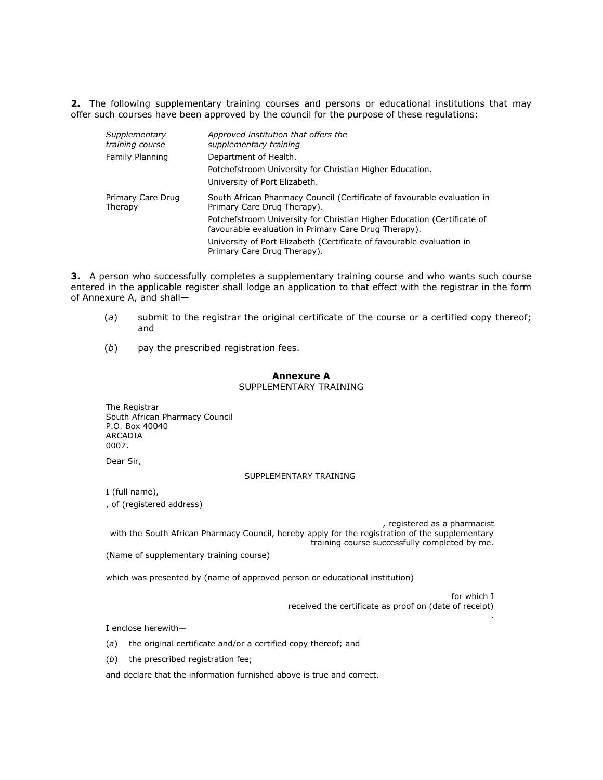**2.** The following supplementary training courses and persons or educational institutions that may offer such courses have been approved by the council for the purpose of these regulations:

| Supplementary<br>training course | Approved institution that offers the<br>supplementary training                                                                  |
|----------------------------------|---------------------------------------------------------------------------------------------------------------------------------|
| Family Planning                  | Department of Health.                                                                                                           |
|                                  | Potchefstroom University for Christian Higher Education.                                                                        |
|                                  | University of Port Elizabeth.                                                                                                   |
| Primary Care Drug<br>Therapy     | South African Pharmacy Council (Certificate of favourable evaluation in<br>Primary Care Drug Therapy).                          |
|                                  | Potchefstroom University for Christian Higher Education (Certificate of<br>favourable evaluation in Primary Care Drug Therapy). |
|                                  | University of Port Elizabeth (Certificate of favourable evaluation in<br>Primary Care Drug Therapy).                            |

**3.** A person who successfully completes a supplementary training course and who wants such course entered in the applicable register shall lodge an application to that effect with the registrar in the form of [Annexure A,](http://www.mylexisnexis.co.za/nxt/gateway.dll/jilc/kilc/xjsg/zmsg/cnsg/t84h/6a5h/ab5h#0) and shall—

- (*a*) submit to the registrar the original certificate of the course or a certified copy thereof; and
- (*b*) pay the prescribed registration fees.

## **Annexure A** SUPPLEMENTARY TRAINING

The Registrar South African Pharmacy Council P.O. Box 40040 ARCADIA 0007.

Dear Sir,

#### SUPPLEMENTARY TRAINING

I (full name),

, of (registered address)

, registered as a pharmacist with the South African Pharmacy Council, hereby apply for the registration of the supplementary training course successfully completed by me.

(Name of supplementary training course)

which was presented by (name of approved person or educational institution)

for which I received the certificate as proof on (date of receipt) .

I enclose herewith—

(*a*) the original certificate and/or a certified copy thereof; and

(*b*) the prescribed registration fee;

and declare that the information furnished above is true and correct.